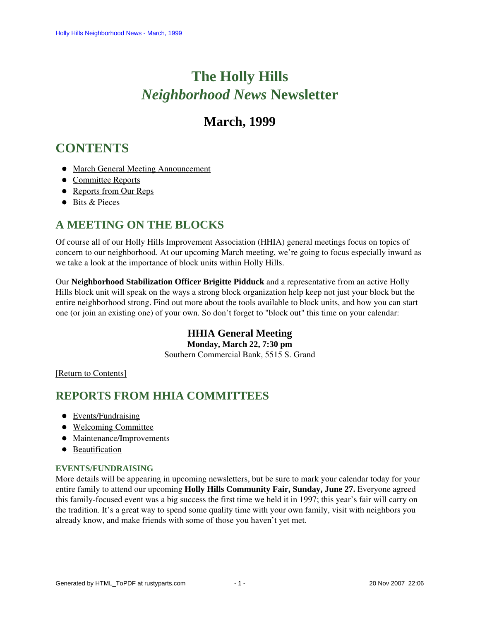# **The Holly Hills**  *Neighborhood News* **Newsletter**

# **March, 1999**

# <span id="page-0-2"></span>**CONTENTS**

- [March General Meeting Announcement](#page-0-0)
- [Committee Reports](#page-0-1)
- [Reports from Our Reps](#page-1-0)
- [Bits & Pieces](#page-3-0)

# <span id="page-0-0"></span>**A MEETING ON THE BLOCKS**

Of course all of our Holly Hills Improvement Association (HHIA) general meetings focus on topics of concern to our neighborhood. At our upcoming March meeting, we're going to focus especially inward as we take a look at the importance of block units within Holly Hills.

Our **Neighborhood Stabilization Officer Brigitte Pidduck** and a representative from an active Holly Hills block unit will speak on the ways a strong block organization help keep not just your block but the entire neighborhood strong. Find out more about the tools available to block units, and how you can start one (or join an existing one) of your own. So don't forget to "block out" this time on your calendar:

# **HHIA General Meeting Monday, March 22, 7:30 pm**

Southern Commercial Bank, 5515 S. Grand

[\[Return to Contents\]](#page-0-2)

# <span id="page-0-4"></span><span id="page-0-1"></span>**REPORTS FROM HHIA COMMITTEES**

- [Events/Fundraising](#page-0-3)
- [Welcoming Committee](#page-1-1)
- [Maintenance/Improvements](#page-1-2)
- **•** [Beautification](#page-1-3)

# <span id="page-0-3"></span>**EVENTS/FUNDRAISING**

More details will be appearing in upcoming newsletters, but be sure to mark your calendar today for your entire family to attend our upcoming **Holly Hills Community Fair, Sunday, June 27.** Everyone agreed this family-focused event was a big success the first time we held it in 1997; this year's fair will carry on the tradition. It's a great way to spend some quality time with your own family, visit with neighbors you already know, and make friends with some of those you haven't yet met.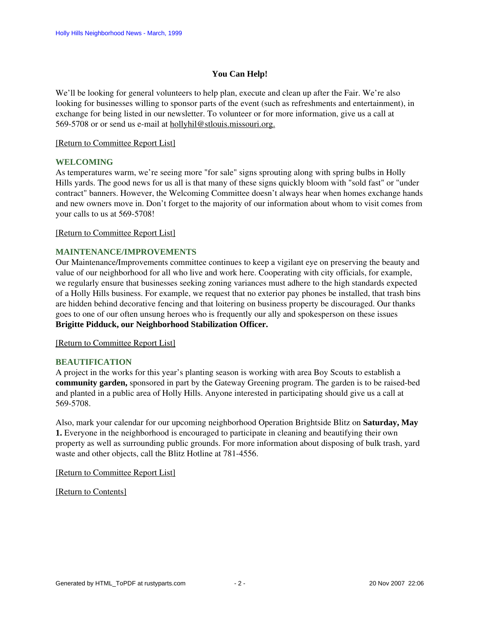# **You Can Help!**

We'll be looking for general volunteers to help plan, execute and clean up after the Fair. We're also looking for businesses willing to sponsor parts of the event (such as refreshments and entertainment), in exchange for being listed in our newsletter. To volunteer or for more information, give us a call at 569-5708 or or send us e-mail at hollyhil@stlouis.missouri.org.

#### [\[Return to Committee Report List\]](#page-0-4)

#### <span id="page-1-1"></span>**WELCOMING**

As temperatures warm, we're seeing more "for sale" signs sprouting along with spring bulbs in Holly Hills yards. The good news for us all is that many of these signs quickly bloom with "sold fast" or "under contract" banners. However, the Welcoming Committee doesn't always hear when homes exchange hands and new owners move in. Don't forget to the majority of our information about whom to visit comes from your calls to us at 569-5708!

[\[Return to Committee Report List\]](#page-0-4)

# <span id="page-1-2"></span>**MAINTENANCE/IMPROVEMENTS**

Our Maintenance/Improvements committee continues to keep a vigilant eye on preserving the beauty and value of our neighborhood for all who live and work here. Cooperating with city officials, for example, we regularly ensure that businesses seeking zoning variances must adhere to the high standards expected of a Holly Hills business. For example, we request that no exterior pay phones be installed, that trash bins are hidden behind decorative fencing and that loitering on business property be discouraged. Our thanks goes to one of our often unsung heroes who is frequently our ally and spokesperson on these issues **Brigitte Pidduck, our Neighborhood Stabilization Officer.**

[\[Return to Committee Report List\]](#page-0-4)

# <span id="page-1-3"></span>**BEAUTIFICATION**

A project in the works for this year's planting season is working with area Boy Scouts to establish a **community garden,** sponsored in part by the Gateway Greening program. The garden is to be raised-bed and planted in a public area of Holly Hills. Anyone interested in participating should give us a call at 569-5708.

Also, mark your calendar for our upcoming neighborhood Operation Brightside Blitz on **Saturday, May 1.** Everyone in the neighborhood is encouraged to participate in cleaning and beautifying their own property as well as surrounding public grounds. For more information about disposing of bulk trash, yard waste and other objects, call the Blitz Hotline at 781-4556.

[\[Return to Committee Report List\]](#page-0-4)

<span id="page-1-0"></span>[\[Return to Contents\]](#page-0-2)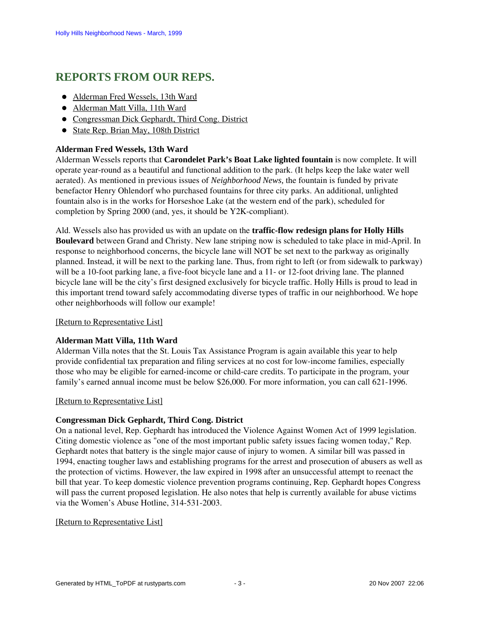# <span id="page-2-3"></span>**REPORTS FROM OUR REPS.**

- [Alderman Fred Wessels, 13th Ward](#page-2-0)
- [Alderman Matt Villa, 11th Ward](#page-2-1)
- [Congressman Dick Gephardt, Third Cong. District](#page-2-2)
- [State Rep. Brian May, 108th District](#page-3-1)

# <span id="page-2-0"></span>**Alderman Fred Wessels, 13th Ward**

Alderman Wessels reports that **Carondelet Park's Boat Lake lighted fountain** is now complete. It will operate year-round as a beautiful and functional addition to the park. (It helps keep the lake water well aerated). As mentioned in previous issues of *Neighborhood News,* the fountain is funded by private benefactor Henry Ohlendorf who purchased fountains for three city parks. An additional, unlighted fountain also is in the works for Horseshoe Lake (at the western end of the park), scheduled for completion by Spring 2000 (and, yes, it should be Y2K-compliant).

Ald. Wessels also has provided us with an update on the **traffic-flow redesign plans for Holly Hills Boulevard** between Grand and Christy. New lane striping now is scheduled to take place in mid-April. In response to neighborhood concerns, the bicycle lane will NOT be set next to the parkway as originally planned. Instead, it will be next to the parking lane. Thus, from right to left (or from sidewalk to parkway) will be a 10-foot parking lane, a five-foot bicycle lane and a 11- or 12-foot driving lane. The planned bicycle lane will be the city's first designed exclusively for bicycle traffic. Holly Hills is proud to lead in this important trend toward safely accommodating diverse types of traffic in our neighborhood. We hope other neighborhoods will follow our example!

# [\[Return to Representative List\]](#page-2-3)

# <span id="page-2-1"></span>**Alderman Matt Villa, 11th Ward**

Alderman Villa notes that the St. Louis Tax Assistance Program is again available this year to help provide confidential tax preparation and filing services at no cost for low-income families, especially those who may be eligible for earned-income or child-care credits. To participate in the program, your family's earned annual income must be below \$26,000. For more information, you can call 621-1996.

# [\[Return to Representative List\]](#page-2-3)

# <span id="page-2-2"></span>**Congressman Dick Gephardt, Third Cong. District**

On a national level, Rep. Gephardt has introduced the Violence Against Women Act of 1999 legislation. Citing domestic violence as "one of the most important public safety issues facing women today," Rep. Gephardt notes that battery is the single major cause of injury to women. A similar bill was passed in 1994, enacting tougher laws and establishing programs for the arrest and prosecution of abusers as well as the protection of victims. However, the law expired in 1998 after an unsuccessful attempt to reenact the bill that year. To keep domestic violence prevention programs continuing, Rep. Gephardt hopes Congress will pass the current proposed legislation. He also notes that help is currently available for abuse victims via the Women's Abuse Hotline, 314-531-2003.

# [\[Return to Representative List\]](#page-2-3)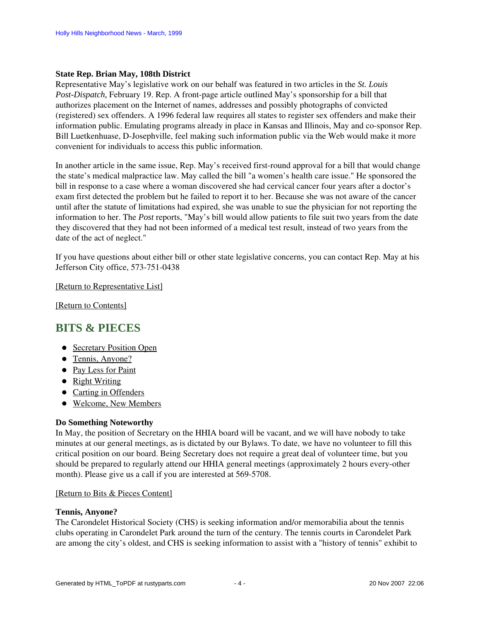#### <span id="page-3-1"></span>**State Rep. Brian May, 108th District**

Representative May's legislative work on our behalf was featured in two articles in the *St. Louis Post-Dispatch,* February 19. Rep. A front-page article outlined May's sponsorship for a bill that authorizes placement on the Internet of names, addresses and possibly photographs of convicted (registered) sex offenders. A 1996 federal law requires all states to register sex offenders and make their information public. Emulating programs already in place in Kansas and Illinois, May and co-sponsor Rep. Bill Luetkenhuase, D-Josephville, feel making such information public via the Web would make it more convenient for individuals to access this public information.

In another article in the same issue, Rep. May's received first-round approval for a bill that would change the state's medical malpractice law. May called the bill "a women's health care issue." He sponsored the bill in response to a case where a woman discovered she had cervical cancer four years after a doctor's exam first detected the problem but he failed to report it to her. Because she was not aware of the cancer until after the statute of limitations had expired, she was unable to sue the physician for not reporting the information to her. The *Post* reports, "May's bill would allow patients to file suit two years from the date they discovered that they had not been informed of a medical test result, instead of two years from the date of the act of neglect."

If you have questions about either bill or other state legislative concerns, you can contact Rep. May at his Jefferson City office, 573-751-0438

[\[Return to Representative List\]](#page-2-3)

[\[Return to Contents\]](#page-0-2)

# <span id="page-3-4"></span><span id="page-3-0"></span>**BITS & PIECES**

- [Secretary Position Open](#page-3-2)
- [Tennis, Anyone?](#page-3-3)
- [Pay Less for Paint](#page-4-0)
- [Right Writing](#page-4-1)
- [Carting in Offenders](#page-4-2)
- [Welcome, New Members](#page-4-3)

# <span id="page-3-2"></span>**Do Something Noteworthy**

In May, the position of Secretary on the HHIA board will be vacant, and we will have nobody to take minutes at our general meetings, as is dictated by our Bylaws. To date, we have no volunteer to fill this critical position on our board. Being Secretary does not require a great deal of volunteer time, but you should be prepared to regularly attend our HHIA general meetings (approximately 2 hours every-other month). Please give us a call if you are interested at 569-5708.

#### [\[Return to Bits & Pieces Content\]](#page-3-4)

#### <span id="page-3-3"></span>**Tennis, Anyone?**

The Carondelet Historical Society (CHS) is seeking information and/or memorabilia about the tennis clubs operating in Carondelet Park around the turn of the century. The tennis courts in Carondelet Park are among the city's oldest, and CHS is seeking information to assist with a "history of tennis" exhibit to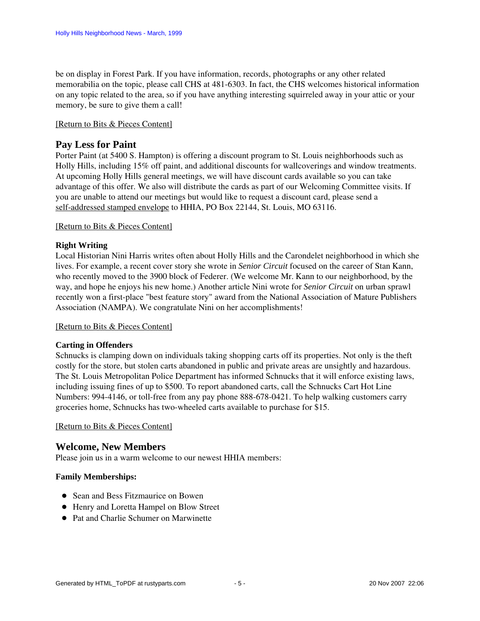be on display in Forest Park. If you have information, records, photographs or any other related memorabilia on the topic, please call CHS at 481-6303. In fact, the CHS welcomes historical information on any topic related to the area, so if you have anything interesting squirreled away in your attic or your memory, be sure to give them a call!

#### [\[Return to Bits & Pieces Content\]](#page-3-4)

# <span id="page-4-0"></span>**Pay Less for Paint**

Porter Paint (at 5400 S. Hampton) is offering a discount program to St. Louis neighborhoods such as Holly Hills, including 15% off paint, and additional discounts for wallcoverings and window treatments. At upcoming Holly Hills general meetings, we will have discount cards available so you can take advantage of this offer. We also will distribute the cards as part of our Welcoming Committee visits. If you are unable to attend our meetings but would like to request a discount card, please send a self-addressed stamped envelope to HHIA, PO Box 22144, St. Louis, MO 63116.

# [\[Return to Bits & Pieces Content\]](#page-3-4)

# <span id="page-4-1"></span>**Right Writing**

Local Historian Nini Harris writes often about Holly Hills and the Carondelet neighborhood in which she lives. For example, a recent cover story she wrote in *Senior Circuit* focused on the career of Stan Kann, who recently moved to the 3900 block of Federer. (We welcome Mr. Kann to our neighborhood, by the way, and hope he enjoys his new home.) Another article Nini wrote for *Senior Circuit* on urban sprawl recently won a first-place "best feature story" award from the National Association of Mature Publishers Association (NAMPA). We congratulate Nini on her accomplishments!

# [\[Return to Bits & Pieces Content\]](#page-3-4)

# <span id="page-4-2"></span>**Carting in Offenders**

Schnucks is clamping down on individuals taking shopping carts off its properties. Not only is the theft costly for the store, but stolen carts abandoned in public and private areas are unsightly and hazardous. The St. Louis Metropolitan Police Department has informed Schnucks that it will enforce existing laws, including issuing fines of up to \$500. To report abandoned carts, call the Schnucks Cart Hot Line Numbers: 994-4146, or toll-free from any pay phone 888-678-0421. To help walking customers carry groceries home, Schnucks has two-wheeled carts available to purchase for \$15.

[\[Return to Bits & Pieces Content\]](#page-3-4)

# <span id="page-4-3"></span>**Welcome, New Members**

Please join us in a warm welcome to our newest HHIA members:

# **Family Memberships:**

- Sean and Bess Fitzmaurice on Bowen
- Henry and Loretta Hampel on Blow Street
- Pat and Charlie Schumer on Marwinette